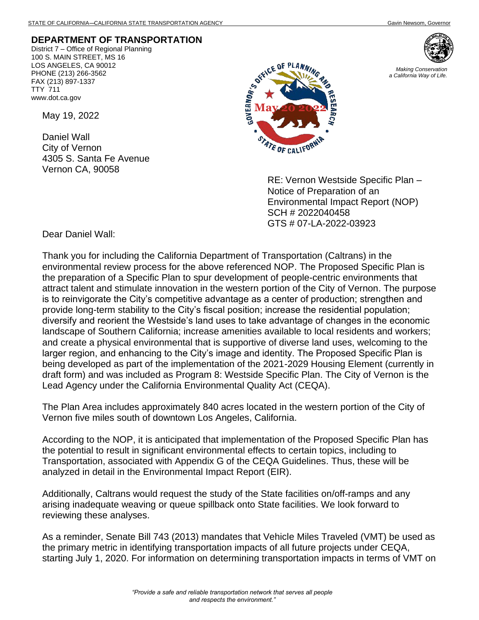## **DEPARTMENT OF TRANSPORTATION**

District 7 – Office of Regional Planning 100 S. MAIN STREET, MS 16 LOS ANGELES, CA 90012 PHONE (213) 266-3562 FAX (213) 897-1337 TTY 711 www.dot.ca.gov

May 19, 2022

Daniel Wall City of Vernon 4305 S. Santa Fe Avenue Vernon CA, 90058





RE: Vernon Westside Specific Plan – Notice of Preparation of an Environmental Impact Report (NOP) SCH # 2022040458 GTS # 07-LA-2022-03923

Dear Daniel Wall:

Thank you for including the California Department of Transportation (Caltrans) in the environmental review process for the above referenced NOP. The Proposed Specific Plan is the preparation of a Specific Plan to spur development of people-centric environments that attract talent and stimulate innovation in the western portion of the City of Vernon. The purpose is to reinvigorate the City's competitive advantage as a center of production; strengthen and provide long-term stability to the City's fiscal position; increase the residential population; diversify and reorient the Westside's land uses to take advantage of changes in the economic landscape of Southern California; increase amenities available to local residents and workers; and create a physical environmental that is supportive of diverse land uses, welcoming to the larger region, and enhancing to the City's image and identity. The Proposed Specific Plan is being developed as part of the implementation of the 2021-2029 Housing Element (currently in draft form) and was included as Program 8: Westside Specific Plan. The City of Vernon is the Lead Agency under the California Environmental Quality Act (CEQA).

The Plan Area includes approximately 840 acres located in the western portion of the City of Vernon five miles south of downtown Los Angeles, California.

According to the NOP, it is anticipated that implementation of the Proposed Specific Plan has the potential to result in significant environmental effects to certain topics, including to Transportation, associated with Appendix G of the CEQA Guidelines. Thus, these will be analyzed in detail in the Environmental Impact Report (EIR).

Additionally, Caltrans would request the study of the State facilities on/off-ramps and any arising inadequate weaving or queue spillback onto State facilities. We look forward to reviewing these analyses.

As a reminder, Senate Bill 743 (2013) mandates that Vehicle Miles Traveled (VMT) be used as the primary metric in identifying transportation impacts of all future projects under CEQA, starting July 1, 2020. For information on determining transportation impacts in terms of VMT on